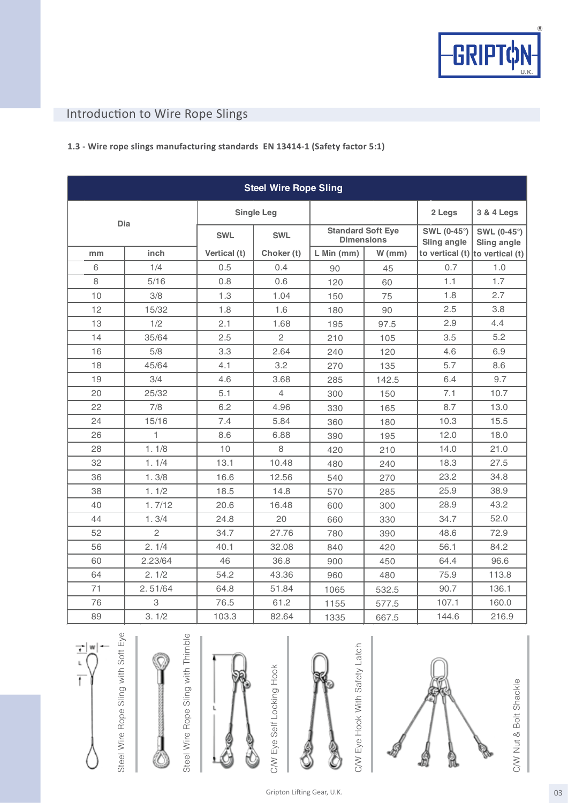

# Introduction to Wire Rope Slings

### **1.3 - Wire rope slings manufacturing standards EN 13414-1 (Safety factor 5:1)**

| <b>Steel Wire Rope Sling</b> |                |                   |                |                                               |          |                                     |                                   |
|------------------------------|----------------|-------------------|----------------|-----------------------------------------------|----------|-------------------------------------|-----------------------------------|
| Dia                          |                | <b>Single Leg</b> |                |                                               |          | 2 Legs                              | 3 & 4 Legs                        |
|                              |                | <b>SWL</b>        | <b>SWL</b>     | <b>Standard Soft Eye</b><br><b>Dimensions</b> |          | <b>SWL (0-45°)</b><br>Sling angle   | SWL (0-45°)<br><b>Sling angle</b> |
| mm                           | inch           | Vertical (t)      | Choker (t)     | $L$ Min (mm)                                  | $W$ (mm) | to vertical $(t)$ to vertical $(t)$ |                                   |
| 6                            | 1/4            | 0.5               | 0.4            | 90                                            | 45       | 0.7                                 | 1.0                               |
| 8                            | 5/16           | 0.8               | 0.6            | 120                                           | 60       | 1.1                                 | 1.7                               |
| 10                           | 3/8            | 1.3               | 1.04           | 150                                           | 75       | 1.8                                 | 2.7                               |
| 12                           | 15/32          | 1.8               | 1.6            | 180                                           | 90       | 2.5                                 | 3.8                               |
| 13                           | 1/2            | 2.1               | 1.68           | 195                                           | 97.5     | 2.9                                 | 4.4                               |
| 14                           | 35/64          | 2.5               | $\mathbf{2}$   | 210                                           | 105      | 3.5                                 | 5.2                               |
| 16                           | 5/8            | 3.3               | 2.64           | 240                                           | 120      | 4.6                                 | 6.9                               |
| 18                           | 45/64          | 4.1               | 3.2            | 270                                           | 135      | 5.7                                 | 8.6                               |
| 19                           | 3/4            | 4.6               | 3.68           | 285                                           | 142.5    | 6.4                                 | 9.7                               |
| 20                           | 25/32          | 5.1               | $\overline{4}$ | 300                                           | 150      | 7.1                                 | 10.7                              |
| 22                           | 7/8            | 6.2               | 4.96           | 330                                           | 165      | 8.7                                 | 13.0                              |
| 24                           | 15/16          | 7.4               | 5.84           | 360                                           | 180      | 10.3                                | 15.5                              |
| 26                           | $\mathbf{1}$   | 8.6               | 6.88           | 390                                           | 195      | 12.0                                | 18.0                              |
| 28                           | 1.1/8          | 10                | 8              | 420                                           | 210      | 14.0                                | 21.0                              |
| 32                           | 1.1/4          | 13.1              | 10.48          | 480                                           | 240      | 18.3                                | 27.5                              |
| 36                           | 1.3/8          | 16.6              | 12.56          | 540                                           | 270      | 23.2                                | 34.8                              |
| 38                           | 1.1/2          | 18.5              | 14.8           | 570                                           | 285      | 25.9                                | 38.9                              |
| 40                           | 1.7/12         | 20.6              | 16.48          | 600                                           | 300      | 28.9                                | 43.2                              |
| 44                           | 1.3/4          | 24.8              | 20             | 660                                           | 330      | 34.7                                | 52.0                              |
| 52                           | $\overline{c}$ | 34.7              | 27.76          | 780                                           | 390      | 48.6                                | 72.9                              |
| 56                           | 2.1/4          | 40.1              | 32.08          | 840                                           | 420      | 56.1                                | 84.2                              |
| 60                           | 2.23/64        | 46                | 36.8           | 900                                           | 450      | 64.4                                | 96.6                              |
| 64                           | 2.1/2          | 54.2              | 43.36          | 960                                           | 480      | 75.9                                | 113.8                             |
| 71                           | 2.51/64        | 64.8              | 51.84          | 1065                                          | 532.5    | 90.7                                | 136.1                             |
| 76                           | 3              | 76.5              | 61.2           | 1155                                          | 577.5    | 107.1                               | 160.0                             |
| 89                           | 3.1/2          | 103.3             | 82.64          | 1335                                          | 667.5    | 144.6                               | 216.9                             |



Steel Wire Rope Sling with Soft Eye









C/W Eye Self Locking Hook

C/W Eye Self Locking Hook